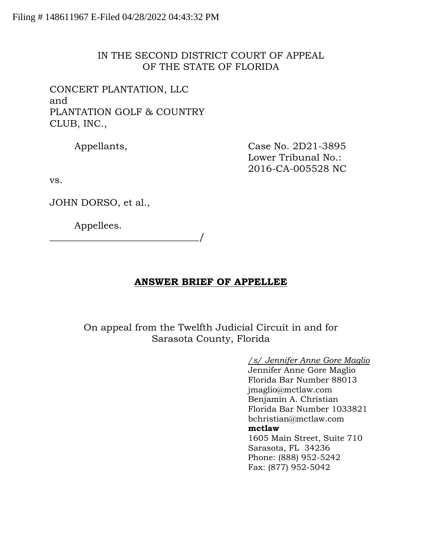# IN THE SECOND DISTRICT COURT OF APPEAL OF THE STATE OF FLORIDA

CONCERT PLANTATION, LLC and PLANTATION GOLF & COUNTRY CLUB, INC.,

Appellants, Case No. 2D21-3895 Lower Tribunal No.: 2016-CA-005528 NC

vs.

JOHN DORSO, et al.,

Appellees.

\_\_\_\_\_\_\_\_\_\_\_\_\_\_\_\_\_\_\_\_\_\_\_\_\_\_\_\_\_\_\_/

# **ANSWER BRIEF OF APPELLEE**

On appeal from the Twelfth Judicial Circuit in and for Sarasota County, Florida

> */s/ Jennifer Anne Gore Maglio* Jennifer Anne Gore Maglio Florida Bar Number 88013 jmaglio@mctlaw.com Benjamin A. Christian Florida Bar Number 1033821 bchristian@mctlaw.com **mctlaw** 1605 Main Street, Suite 710 Sarasota, FL 34236 Phone: (888) 952-5242 Fax: (877) 952-5042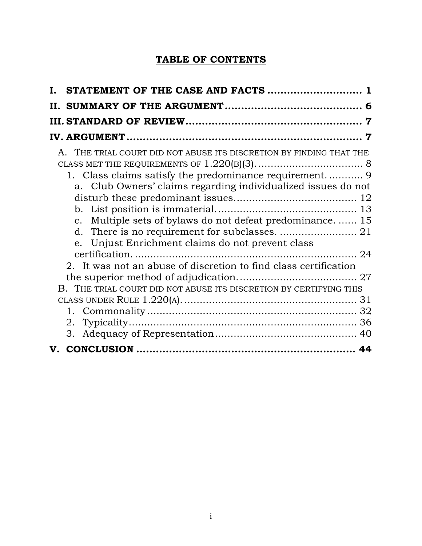# **TABLE OF CONTENTS**

| H. |                                                                                                                                                                                                                                                      |  |
|----|------------------------------------------------------------------------------------------------------------------------------------------------------------------------------------------------------------------------------------------------------|--|
|    |                                                                                                                                                                                                                                                      |  |
|    |                                                                                                                                                                                                                                                      |  |
|    | A. THE TRIAL COURT DID NOT ABUSE ITS DISCRETION BY FINDING THAT THE<br>a. Club Owners' claims regarding individualized issues do not<br>c. Multiple sets of bylaws do not defeat predominance 15<br>e. Unjust Enrichment claims do not prevent class |  |
|    | 2. It was not an abuse of discretion to find class certification                                                                                                                                                                                     |  |
|    | B. THE TRIAL COURT DID NOT ABUSE ITS DISCRETION BY CERTIFYING THIS                                                                                                                                                                                   |  |
|    |                                                                                                                                                                                                                                                      |  |
|    |                                                                                                                                                                                                                                                      |  |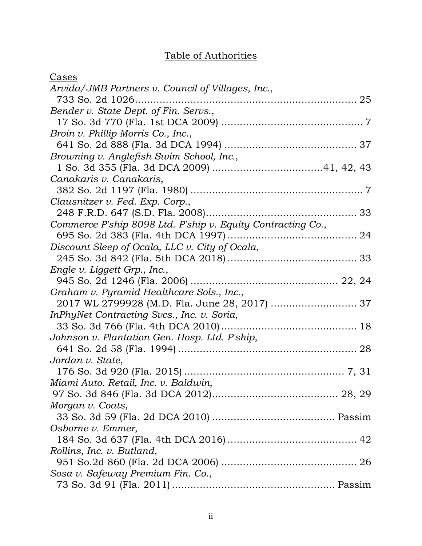# Table of Authorities

| Cases                                                       |
|-------------------------------------------------------------|
| Arvida/JMB Partners v. Council of Villages, Inc.,           |
| 733 So. 2d 1026                                             |
| Bender v. State Dept. of Fin. Servs.,                       |
|                                                             |
| Broin v. Phillip Morris Co., Inc.,                          |
|                                                             |
| Browning v. Anglefish Swim School, Inc.,                    |
|                                                             |
| Canakaris v. Canakaris,                                     |
|                                                             |
| Clausnitzer v. Fed. Exp. Corp.,                             |
|                                                             |
| Commerce P'ship 8098 Ltd. P'ship v. Equity Contracting Co., |
|                                                             |
| Discount Sleep of Ocala, LLC v. City of Ocala,              |
|                                                             |
| Engle v. Liggett Grp., Inc.,                                |
|                                                             |
| Graham v. Pyramid Healthcare Sols., Inc.,                   |
| 2017 WL 2799928 (M.D. Fla. June 28, 2017)  37               |
| InPhyNet Contracting Svcs., Inc. v. Soria,                  |
|                                                             |
| Johnson v. Plantation Gen. Hosp. Ltd. P'ship,               |
|                                                             |
| Jordan v. State,                                            |
|                                                             |
| Miami Auto. Retail, Inc. v. Baldwin,                        |
|                                                             |
| Morgan v. Coats,                                            |
|                                                             |
| Osborne v. Emmer,                                           |
|                                                             |
| Rollins, Inc. v. Butland,                                   |
|                                                             |
| Sosa v. Safeway Premium Fin. Co.,                           |
|                                                             |
|                                                             |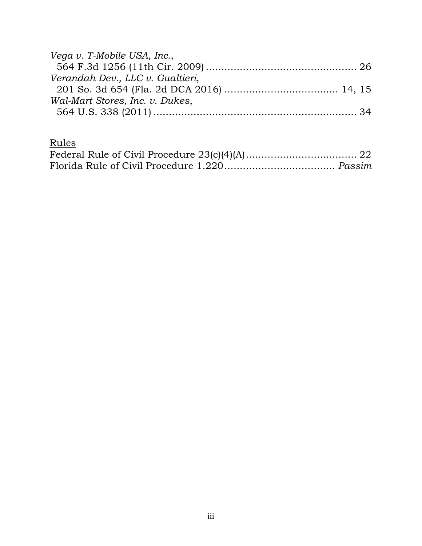| Vega v. T-Mobile USA, Inc.,      |  |
|----------------------------------|--|
|                                  |  |
| Verandah Dev., LLC v. Gualtieri, |  |
|                                  |  |
| Wal-Mart Stores, Inc. v. Dukes,  |  |
|                                  |  |

Rules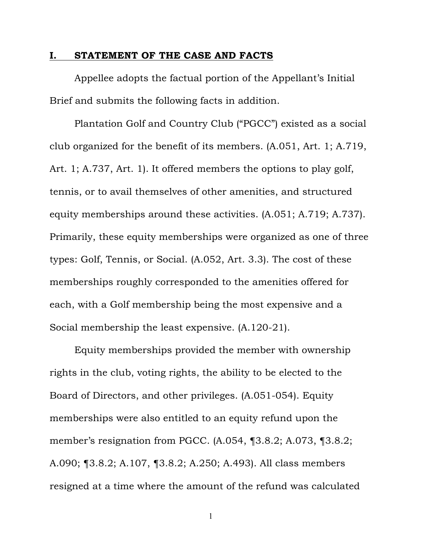### <span id="page-4-0"></span>**I. STATEMENT OF THE CASE AND FACTS**

Appellee adopts the factual portion of the Appellant's Initial Brief and submits the following facts in addition.

Plantation Golf and Country Club ("PGCC") existed as a social club organized for the benefit of its members. (A.051, Art. 1; A.719, Art. 1; A.737, Art. 1). It offered members the options to play golf, tennis, or to avail themselves of other amenities, and structured equity memberships around these activities. (A.051; A.719; A.737). Primarily, these equity memberships were organized as one of three types: Golf, Tennis, or Social. (A.052, Art. 3.3). The cost of these memberships roughly corresponded to the amenities offered for each, with a Golf membership being the most expensive and a Social membership the least expensive. (A.120-21).

Equity memberships provided the member with ownership rights in the club, voting rights, the ability to be elected to the Board of Directors, and other privileges. (A.051-054). Equity memberships were also entitled to an equity refund upon the member's resignation from PGCC. (A.054, ¶3.8.2; A.073, ¶3.8.2; A.090; ¶3.8.2; A.107, ¶3.8.2; A.250; A.493). All class members resigned at a time where the amount of the refund was calculated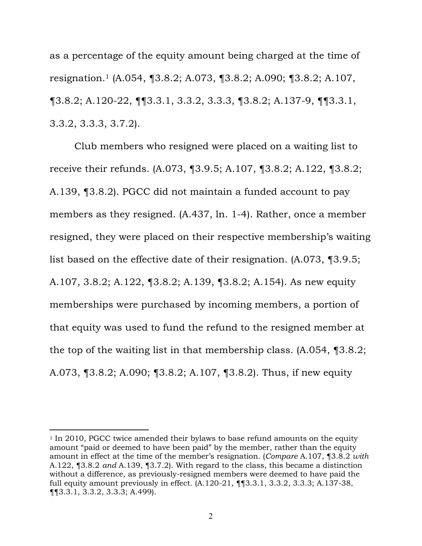as a percentage of the equity amount being charged at the time of resignation.1 (A.054, ¶3.8.2; A.073, ¶3.8.2; A.090; ¶3.8.2; A.107, ¶3.8.2; A.120-22, ¶¶3.3.1, 3.3.2, 3.3.3, ¶3.8.2; A.137-9, ¶¶3.3.1, 3.3.2, 3.3.3, 3.7.2).

Club members who resigned were placed on a waiting list to receive their refunds. (A.073, ¶3.9.5; A.107, ¶3.8.2; A.122, ¶3.8.2; A.139, ¶3.8.2). PGCC did not maintain a funded account to pay members as they resigned. (A.437, ln. 1-4). Rather, once a member resigned, they were placed on their respective membership's waiting list based on the effective date of their resignation. (A.073, ¶3.9.5; A.107, 3.8.2; A.122, ¶3.8.2; A.139, ¶3.8.2; A.154). As new equity memberships were purchased by incoming members, a portion of that equity was used to fund the refund to the resigned member at the top of the waiting list in that membership class. (A.054, ¶3.8.2; A.073, ¶3.8.2; A.090; ¶3.8.2; A.107, ¶3.8.2). Thus, if new equity

<sup>1</sup> In 2010, PGCC twice amended their bylaws to base refund amounts on the equity amount "paid or deemed to have been paid" by the member, rather than the equity amount in effect at the time of the member's resignation. (*Compare* A.107, ¶3.8.2 *with* A.122, ¶3.8.2 *and* A.139, ¶3.7.2). With regard to the class, this became a distinction without a difference, as previously-resigned members were deemed to have paid the full equity amount previously in effect. (A.120-21, ¶¶3.3.1, 3.3.2, 3.3.3; A.137-38, ¶¶3.3.1, 3.3.2, 3.3.3; A.499).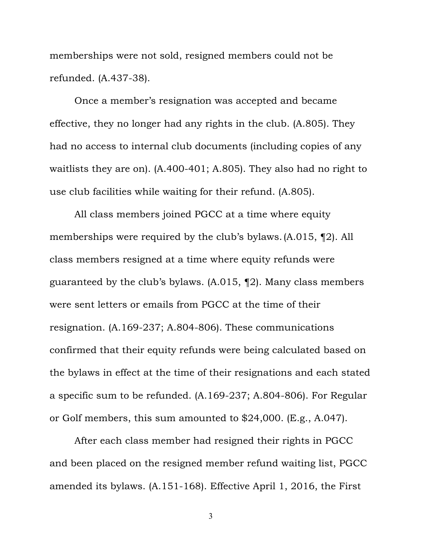memberships were not sold, resigned members could not be refunded. (A.437-38).

Once a member's resignation was accepted and became effective, they no longer had any rights in the club. (A.805). They had no access to internal club documents (including copies of any waitlists they are on). (A.400-401; A.805). They also had no right to use club facilities while waiting for their refund. (A.805).

All class members joined PGCC at a time where equity memberships were required by the club's bylaws.(A.015, ¶2). All class members resigned at a time where equity refunds were guaranteed by the club's bylaws. (A.015, ¶2). Many class members were sent letters or emails from PGCC at the time of their resignation. (A.169-237; A.804-806). These communications confirmed that their equity refunds were being calculated based on the bylaws in effect at the time of their resignations and each stated a specific sum to be refunded. (A.169-237; A.804-806). For Regular or Golf members, this sum amounted to \$24,000. (E.g., A.047).

After each class member had resigned their rights in PGCC and been placed on the resigned member refund waiting list, PGCC amended its bylaws. (A.151-168). Effective April 1, 2016, the First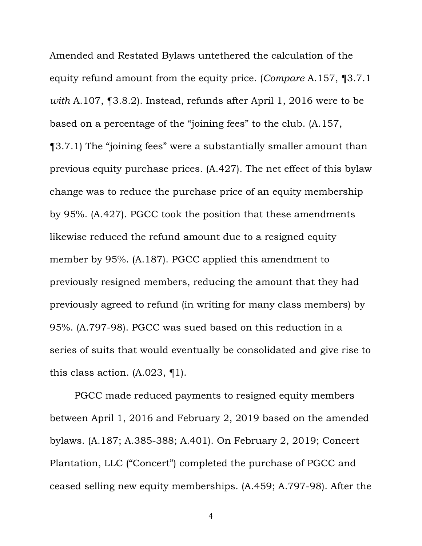Amended and Restated Bylaws untethered the calculation of the equity refund amount from the equity price. (*Compare* A.157, ¶3.7.1 *with* A.107, ¶3.8.2). Instead, refunds after April 1, 2016 were to be based on a percentage of the "joining fees" to the club. (A.157, ¶3.7.1) The "joining fees" were a substantially smaller amount than previous equity purchase prices. (A.427). The net effect of this bylaw change was to reduce the purchase price of an equity membership by 95%. (A.427). PGCC took the position that these amendments likewise reduced the refund amount due to a resigned equity member by 95%. (A.187). PGCC applied this amendment to previously resigned members, reducing the amount that they had previously agreed to refund (in writing for many class members) by 95%. (A.797-98). PGCC was sued based on this reduction in a series of suits that would eventually be consolidated and give rise to this class action. (A.023, ¶1).

PGCC made reduced payments to resigned equity members between April 1, 2016 and February 2, 2019 based on the amended bylaws. (A.187; A.385-388; A.401). On February 2, 2019; Concert Plantation, LLC ("Concert") completed the purchase of PGCC and ceased selling new equity memberships. (A.459; A.797-98). After the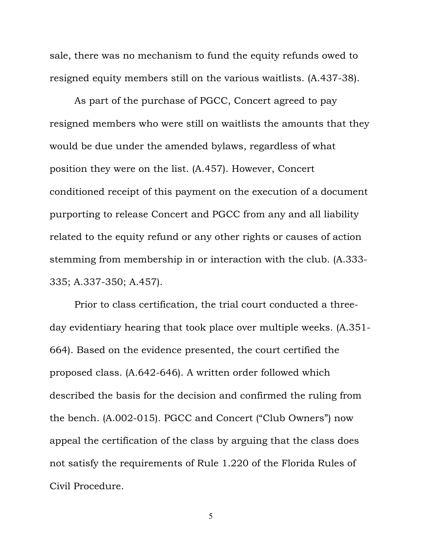sale, there was no mechanism to fund the equity refunds owed to resigned equity members still on the various waitlists. (A.437-38).

As part of the purchase of PGCC, Concert agreed to pay resigned members who were still on waitlists the amounts that they would be due under the amended bylaws, regardless of what position they were on the list. (A.457). However, Concert conditioned receipt of this payment on the execution of a document purporting to release Concert and PGCC from any and all liability related to the equity refund or any other rights or causes of action stemming from membership in or interaction with the club. (A.333- 335; A.337-350; A.457).

Prior to class certification, the trial court conducted a threeday evidentiary hearing that took place over multiple weeks. (A.351- 664). Based on the evidence presented, the court certified the proposed class. (A.642-646). A written order followed which described the basis for the decision and confirmed the ruling from the bench. (A.002-015). PGCC and Concert ("Club Owners") now appeal the certification of the class by arguing that the class does not satisfy the requirements of Rule 1.220 of the Florida Rules of Civil Procedure.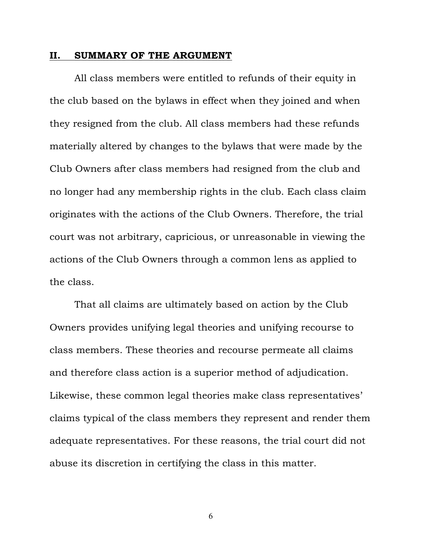#### <span id="page-9-0"></span>**II. SUMMARY OF THE ARGUMENT**

All class members were entitled to refunds of their equity in the club based on the bylaws in effect when they joined and when they resigned from the club. All class members had these refunds materially altered by changes to the bylaws that were made by the Club Owners after class members had resigned from the club and no longer had any membership rights in the club. Each class claim originates with the actions of the Club Owners. Therefore, the trial court was not arbitrary, capricious, or unreasonable in viewing the actions of the Club Owners through a common lens as applied to the class.

That all claims are ultimately based on action by the Club Owners provides unifying legal theories and unifying recourse to class members. These theories and recourse permeate all claims and therefore class action is a superior method of adjudication. Likewise, these common legal theories make class representatives' claims typical of the class members they represent and render them adequate representatives. For these reasons, the trial court did not abuse its discretion in certifying the class in this matter.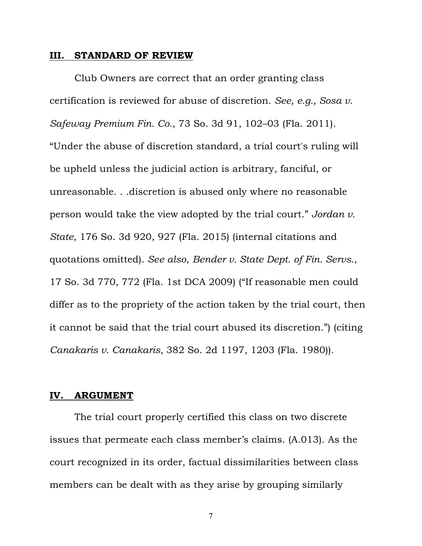#### <span id="page-10-0"></span>**III. STANDARD OF REVIEW**

Club Owners are correct that an order granting class certification is reviewed for abuse of discretion. *See, e.g., Sosa v. Safeway Premium Fin. Co.*, 73 So. 3d 91, 102–03 (Fla. 2011). "Under the abuse of discretion standard, a trial court's ruling will be upheld unless the judicial action is arbitrary, fanciful, or unreasonable. . .discretion is abused only where no reasonable person would take the view adopted by the trial court." *Jordan v. State*, 176 So. 3d 920, 927 (Fla. 2015) (internal citations and quotations omitted). *See also*, *Bender v. State Dept. of Fin. Servs.*, 17 So. 3d 770, 772 (Fla. 1st DCA 2009) ("If reasonable men could differ as to the propriety of the action taken by the trial court, then it cannot be said that the trial court abused its discretion.") (citing *Canakaris v. Canakaris*, 382 So. 2d 1197, 1203 (Fla. 1980)).

### **IV. ARGUMENT**

The trial court properly certified this class on two discrete issues that permeate each class member's claims. (A.013). As the court recognized in its order, factual dissimilarities between class members can be dealt with as they arise by grouping similarly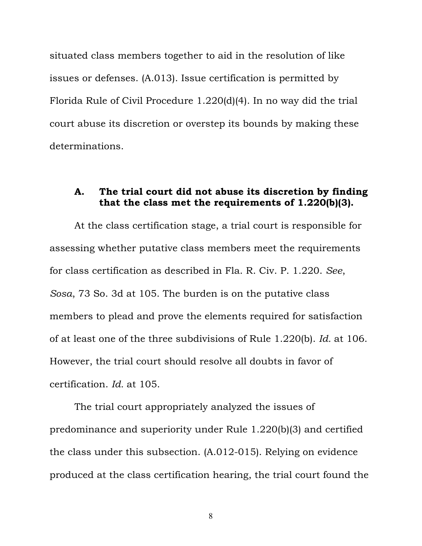<span id="page-11-0"></span>situated class members together to aid in the resolution of like issues or defenses. (A.013). Issue certification is permitted by Florida Rule of Civil Procedure 1.220(d)(4). In no way did the trial court abuse its discretion or overstep its bounds by making these determinations.

### **A. The trial court did not abuse its discretion by finding that the class met the requirements of 1.220(b)(3).**

At the class certification stage, a trial court is responsible for assessing whether putative class members meet the requirements for class certification as described in Fla. R. Civ. P. 1.220. *See*, *Sosa*, 73 So. 3d at 105. The burden is on the putative class members to plead and prove the elements required for satisfaction of at least one of the three subdivisions of Rule 1.220(b). *Id.* at 106. However, the trial court should resolve all doubts in favor of certification. *Id.* at 105.

The trial court appropriately analyzed the issues of predominance and superiority under Rule 1.220(b)(3) and certified the class under this subsection. (A.012-015). Relying on evidence produced at the class certification hearing, the trial court found the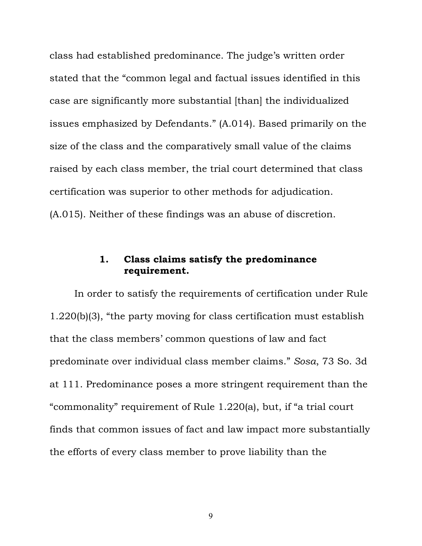<span id="page-12-0"></span>class had established predominance. The judge's written order stated that the "common legal and factual issues identified in this case are significantly more substantial [than] the individualized issues emphasized by Defendants." (A.014). Based primarily on the size of the class and the comparatively small value of the claims raised by each class member, the trial court determined that class certification was superior to other methods for adjudication. (A.015). Neither of these findings was an abuse of discretion.

# **1. Class claims satisfy the predominance requirement.**

In order to satisfy the requirements of certification under Rule 1.220(b)(3), "the party moving for class certification must establish that the class members' common questions of law and fact predominate over individual class member claims." *Sosa*, 73 So. 3d at 111. Predominance poses a more stringent requirement than the "commonality" requirement of Rule 1.220(a), but, if "a trial court finds that common issues of fact and law impact more substantially the efforts of every class member to prove liability than the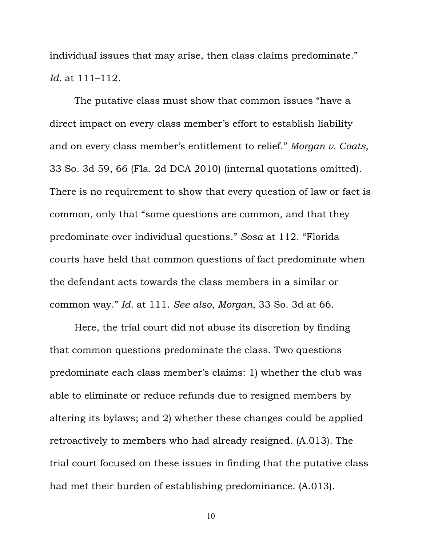individual issues that may arise, then class claims predominate." *Id.* at 111–112.

The putative class must show that common issues "have a direct impact on every class member's effort to establish liability and on every class member's entitlement to relief." *Morgan v. Coats*, 33 So. 3d 59, 66 (Fla. 2d DCA 2010) (internal quotations omitted). There is no requirement to show that every question of law or fact is common, only that "some questions are common, and that they predominate over individual questions." *Sosa* at 112. "Florida courts have held that common questions of fact predominate when the defendant acts towards the class members in a similar or common way." *Id.* at 111. *See also*, *Morgan*, 33 So. 3d at 66.

Here, the trial court did not abuse its discretion by finding that common questions predominate the class. Two questions predominate each class member's claims: 1) whether the club was able to eliminate or reduce refunds due to resigned members by altering its bylaws; and 2) whether these changes could be applied retroactively to members who had already resigned. (A.013). The trial court focused on these issues in finding that the putative class had met their burden of establishing predominance. (A.013).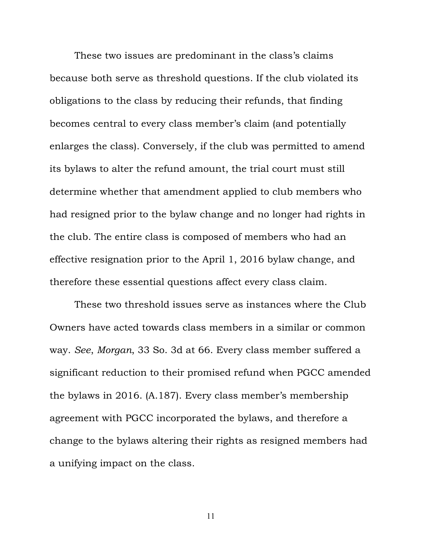These two issues are predominant in the class's claims because both serve as threshold questions. If the club violated its obligations to the class by reducing their refunds, that finding becomes central to every class member's claim (and potentially enlarges the class). Conversely, if the club was permitted to amend its bylaws to alter the refund amount, the trial court must still determine whether that amendment applied to club members who had resigned prior to the bylaw change and no longer had rights in the club. The entire class is composed of members who had an effective resignation prior to the April 1, 2016 bylaw change, and therefore these essential questions affect every class claim.

These two threshold issues serve as instances where the Club Owners have acted towards class members in a similar or common way. *See*, *Morgan*, 33 So. 3d at 66. Every class member suffered a significant reduction to their promised refund when PGCC amended the bylaws in 2016. (A.187). Every class member's membership agreement with PGCC incorporated the bylaws, and therefore a change to the bylaws altering their rights as resigned members had a unifying impact on the class.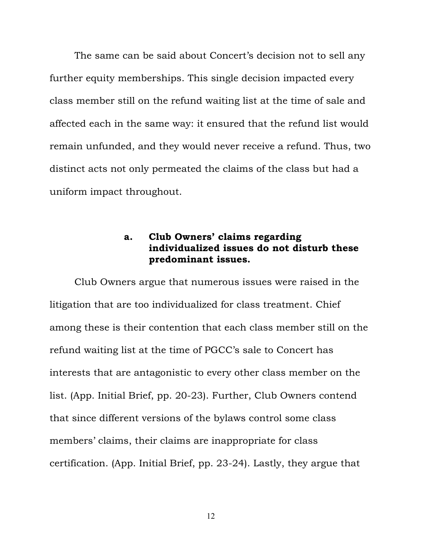<span id="page-15-0"></span>The same can be said about Concert's decision not to sell any further equity memberships. This single decision impacted every class member still on the refund waiting list at the time of sale and affected each in the same way: it ensured that the refund list would remain unfunded, and they would never receive a refund. Thus, two distinct acts not only permeated the claims of the class but had a uniform impact throughout.

# **a. Club Owners' claims regarding individualized issues do not disturb these predominant issues.**

Club Owners argue that numerous issues were raised in the litigation that are too individualized for class treatment. Chief among these is their contention that each class member still on the refund waiting list at the time of PGCC's sale to Concert has interests that are antagonistic to every other class member on the list. (App. Initial Brief, pp. 20-23). Further, Club Owners contend that since different versions of the bylaws control some class members' claims, their claims are inappropriate for class certification. (App. Initial Brief, pp. 23-24). Lastly, they argue that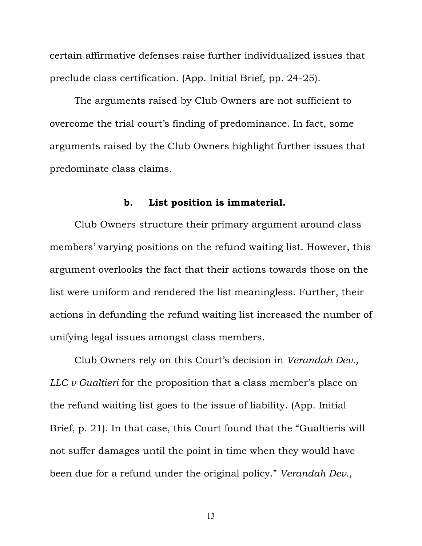<span id="page-16-0"></span>certain affirmative defenses raise further individualized issues that preclude class certification. (App. Initial Brief, pp. 24-25).

The arguments raised by Club Owners are not sufficient to overcome the trial court's finding of predominance. In fact, some arguments raised by the Club Owners highlight further issues that predominate class claims.

### **b. List position is immaterial.**

Club Owners structure their primary argument around class members' varying positions on the refund waiting list. However, this argument overlooks the fact that their actions towards those on the list were uniform and rendered the list meaningless. Further, their actions in defunding the refund waiting list increased the number of unifying legal issues amongst class members.

Club Owners rely on this Court's decision in *Verandah Dev., LLC v Gualtieri* for the proposition that a class member's place on the refund waiting list goes to the issue of liability. (App. Initial Brief, p. 21). In that case, this Court found that the "Gualtieris will not suffer damages until the point in time when they would have been due for a refund under the original policy." *Verandah Dev.,*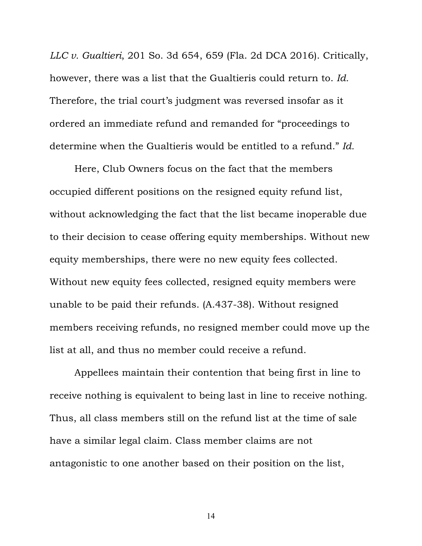*LLC v. Gualtieri*, 201 So. 3d 654, 659 (Fla. 2d DCA 2016). Critically, however, there was a list that the Gualtieris could return to. *Id.* Therefore, the trial court's judgment was reversed insofar as it ordered an immediate refund and remanded for "proceedings to determine when the Gualtieris would be entitled to a refund." *Id.*

Here, Club Owners focus on the fact that the members occupied different positions on the resigned equity refund list, without acknowledging the fact that the list became inoperable due to their decision to cease offering equity memberships. Without new equity memberships, there were no new equity fees collected. Without new equity fees collected, resigned equity members were unable to be paid their refunds. (A.437-38). Without resigned members receiving refunds, no resigned member could move up the list at all, and thus no member could receive a refund.

Appellees maintain their contention that being first in line to receive nothing is equivalent to being last in line to receive nothing. Thus, all class members still on the refund list at the time of sale have a similar legal claim. Class member claims are not antagonistic to one another based on their position on the list,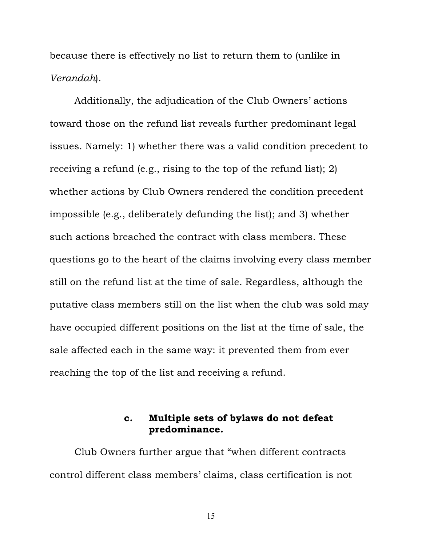<span id="page-18-0"></span>because there is effectively no list to return them to (unlike in *Verandah*).

Additionally, the adjudication of the Club Owners' actions toward those on the refund list reveals further predominant legal issues. Namely: 1) whether there was a valid condition precedent to receiving a refund (e.g., rising to the top of the refund list); 2) whether actions by Club Owners rendered the condition precedent impossible (e.g., deliberately defunding the list); and 3) whether such actions breached the contract with class members. These questions go to the heart of the claims involving every class member still on the refund list at the time of sale. Regardless, although the putative class members still on the list when the club was sold may have occupied different positions on the list at the time of sale, the sale affected each in the same way: it prevented them from ever reaching the top of the list and receiving a refund.

# **c. Multiple sets of bylaws do not defeat predominance.**

Club Owners further argue that "when different contracts control different class members' claims, class certification is not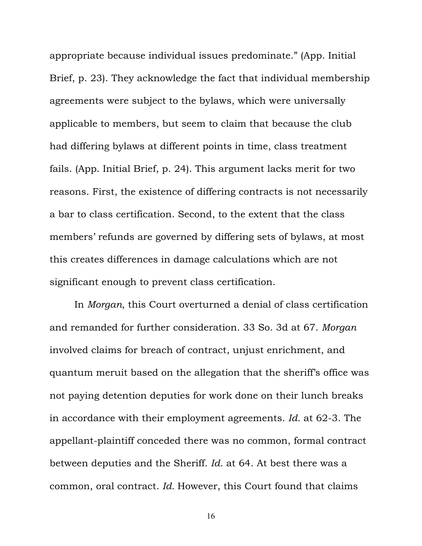appropriate because individual issues predominate." (App. Initial Brief, p. 23). They acknowledge the fact that individual membership agreements were subject to the bylaws, which were universally applicable to members, but seem to claim that because the club had differing bylaws at different points in time, class treatment fails. (App. Initial Brief, p. 24). This argument lacks merit for two reasons. First, the existence of differing contracts is not necessarily a bar to class certification. Second, to the extent that the class members' refunds are governed by differing sets of bylaws, at most this creates differences in damage calculations which are not significant enough to prevent class certification.

In *Morgan*, this Court overturned a denial of class certification and remanded for further consideration. 33 So. 3d at 67. *Morgan*  involved claims for breach of contract, unjust enrichment, and quantum meruit based on the allegation that the sheriff's office was not paying detention deputies for work done on their lunch breaks in accordance with their employment agreements. *Id*. at 62-3. The appellant-plaintiff conceded there was no common, formal contract between deputies and the Sheriff. *Id*. at 64. At best there was a common, oral contract. *Id.* However, this Court found that claims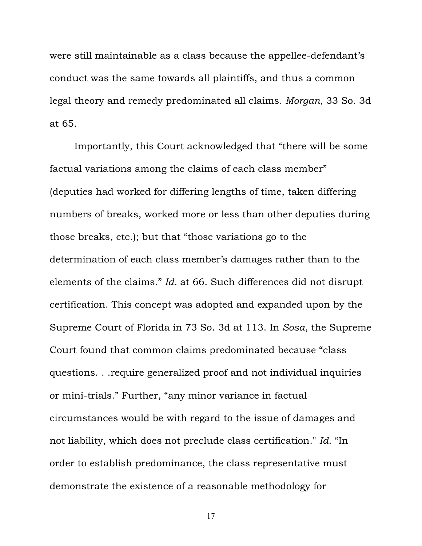were still maintainable as a class because the appellee-defendant's conduct was the same towards all plaintiffs, and thus a common legal theory and remedy predominated all claims. *Morgan*, 33 So. 3d at 65.

Importantly, this Court acknowledged that "there will be some factual variations among the claims of each class member" (deputies had worked for differing lengths of time, taken differing numbers of breaks, worked more or less than other deputies during those breaks, etc.); but that "those variations go to the determination of each class member's damages rather than to the elements of the claims." *Id.* at 66. Such differences did not disrupt certification. This concept was adopted and expanded upon by the Supreme Court of Florida in 73 So. 3d at 113. In *Sosa*, the Supreme Court found that common claims predominated because "class questions. . .require generalized proof and not individual inquiries or mini-trials." Further, "any minor variance in factual circumstances would be with regard to the issue of damages and not liability, which does not preclude class certification." *Id.* "In order to establish predominance, the class representative must demonstrate the existence of a reasonable methodology for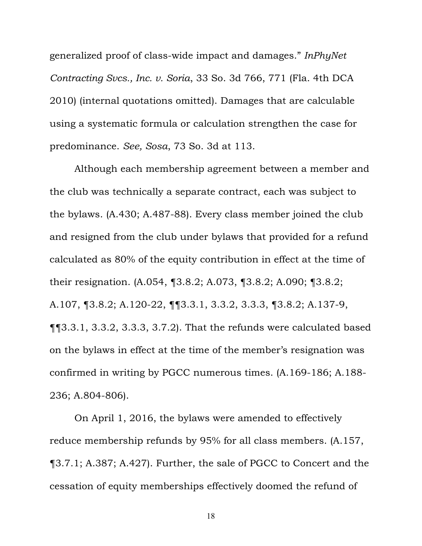generalized proof of class-wide impact and damages." *InPhyNet Contracting Svcs., Inc. v. Soria*, 33 So. 3d 766, 771 (Fla. 4th DCA 2010) (internal quotations omitted). Damages that are calculable using a systematic formula or calculation strengthen the case for predominance. *See, Sosa*, 73 So. 3d at 113.

Although each membership agreement between a member and the club was technically a separate contract, each was subject to the bylaws. (A.430; A.487-88). Every class member joined the club and resigned from the club under bylaws that provided for a refund calculated as 80% of the equity contribution in effect at the time of their resignation. (A.054, ¶3.8.2; A.073, ¶3.8.2; A.090; ¶3.8.2; A.107, ¶3.8.2; A.120-22, ¶¶3.3.1, 3.3.2, 3.3.3, ¶3.8.2; A.137-9, ¶¶3.3.1, 3.3.2, 3.3.3, 3.7.2). That the refunds were calculated based on the bylaws in effect at the time of the member's resignation was confirmed in writing by PGCC numerous times. (A.169-186; A.188- 236; A.804-806).

On April 1, 2016, the bylaws were amended to effectively reduce membership refunds by 95% for all class members. (A.157, ¶3.7.1; A.387; A.427). Further, the sale of PGCC to Concert and the cessation of equity memberships effectively doomed the refund of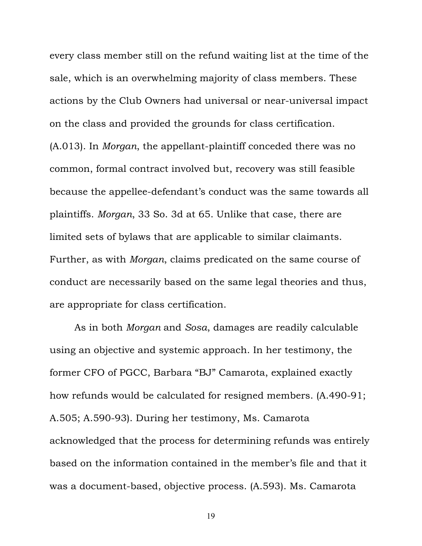every class member still on the refund waiting list at the time of the sale, which is an overwhelming majority of class members. These actions by the Club Owners had universal or near-universal impact on the class and provided the grounds for class certification. (A.013). In *Morgan*, the appellant-plaintiff conceded there was no common, formal contract involved but, recovery was still feasible because the appellee-defendant's conduct was the same towards all plaintiffs. *Morgan*, 33 So. 3d at 65. Unlike that case, there are limited sets of bylaws that are applicable to similar claimants. Further, as with *Morgan*, claims predicated on the same course of conduct are necessarily based on the same legal theories and thus, are appropriate for class certification.

As in both *Morgan* and *Sosa*, damages are readily calculable using an objective and systemic approach. In her testimony, the former CFO of PGCC, Barbara "BJ" Camarota, explained exactly how refunds would be calculated for resigned members. (A.490-91; A.505; A.590-93). During her testimony, Ms. Camarota acknowledged that the process for determining refunds was entirely based on the information contained in the member's file and that it was a document-based, objective process. (A.593). Ms. Camarota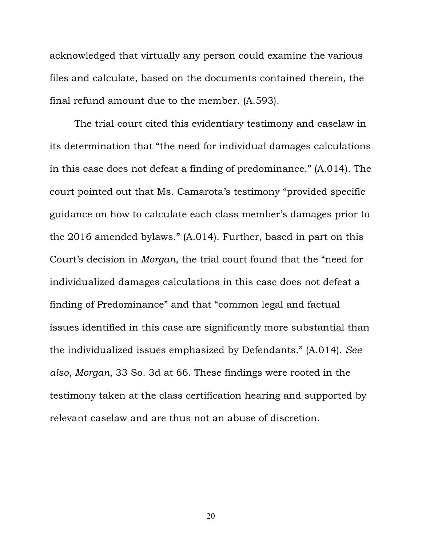acknowledged that virtually any person could examine the various files and calculate, based on the documents contained therein, the final refund amount due to the member. (A.593).

The trial court cited this evidentiary testimony and caselaw in its determination that "the need for individual damages calculations in this case does not defeat a finding of predominance." (A.014). The court pointed out that Ms. Camarota's testimony "provided specific guidance on how to calculate each class member's damages prior to the 2016 amended bylaws." (A.014). Further, based in part on this Court's decision in *Morgan*, the trial court found that the "need for individualized damages calculations in this case does not defeat a finding of Predominance" and that "common legal and factual issues identified in this case are significantly more substantial than the individualized issues emphasized by Defendants." (A.014). *See also*, *Morgan*, 33 So. 3d at 66. These findings were rooted in the testimony taken at the class certification hearing and supported by relevant caselaw and are thus not an abuse of discretion.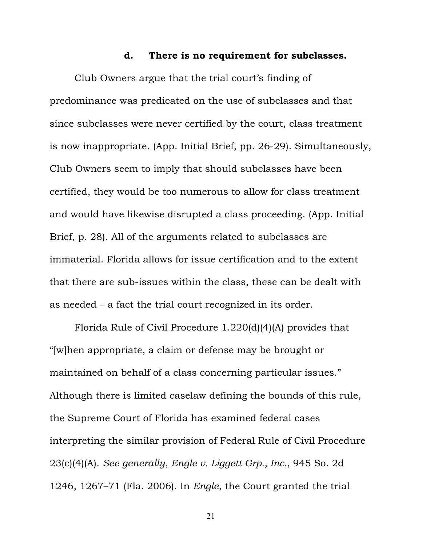#### **d. There is no requirement for subclasses.**

<span id="page-24-0"></span>Club Owners argue that the trial court's finding of predominance was predicated on the use of subclasses and that since subclasses were never certified by the court, class treatment is now inappropriate. (App. Initial Brief, pp. 26-29). Simultaneously, Club Owners seem to imply that should subclasses have been certified, they would be too numerous to allow for class treatment and would have likewise disrupted a class proceeding. (App. Initial Brief, p. 28). All of the arguments related to subclasses are immaterial. Florida allows for issue certification and to the extent that there are sub-issues within the class, these can be dealt with as needed – a fact the trial court recognized in its order.

Florida Rule of Civil Procedure 1.220(d)(4)(A) provides that "[w]hen appropriate, a claim or defense may be brought or maintained on behalf of a class concerning particular issues." Although there is limited caselaw defining the bounds of this rule, the Supreme Court of Florida has examined federal cases interpreting the similar provision of Federal Rule of Civil Procedure 23(c)(4)(A). *See generally*, *Engle v. Liggett Grp., Inc.*, 945 So. 2d 1246, 1267–71 (Fla. 2006). In *Engle*, the Court granted the trial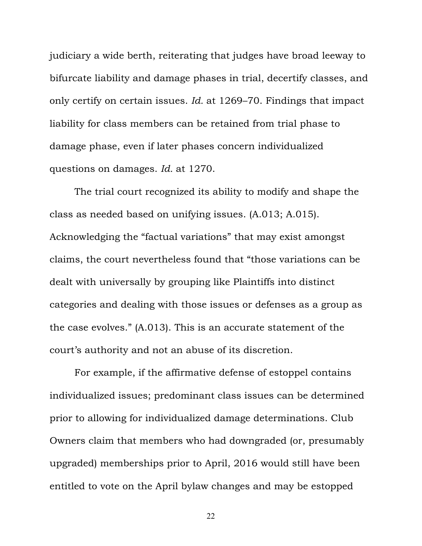judiciary a wide berth, reiterating that judges have broad leeway to bifurcate liability and damage phases in trial, decertify classes, and only certify on certain issues. *Id.* at 1269–70. Findings that impact liability for class members can be retained from trial phase to damage phase, even if later phases concern individualized questions on damages. *Id.* at 1270.

The trial court recognized its ability to modify and shape the class as needed based on unifying issues. (A.013; A.015). Acknowledging the "factual variations" that may exist amongst claims, the court nevertheless found that "those variations can be dealt with universally by grouping like Plaintiffs into distinct categories and dealing with those issues or defenses as a group as the case evolves." (A.013). This is an accurate statement of the court's authority and not an abuse of its discretion.

For example, if the affirmative defense of estoppel contains individualized issues; predominant class issues can be determined prior to allowing for individualized damage determinations. Club Owners claim that members who had downgraded (or, presumably upgraded) memberships prior to April, 2016 would still have been entitled to vote on the April bylaw changes and may be estopped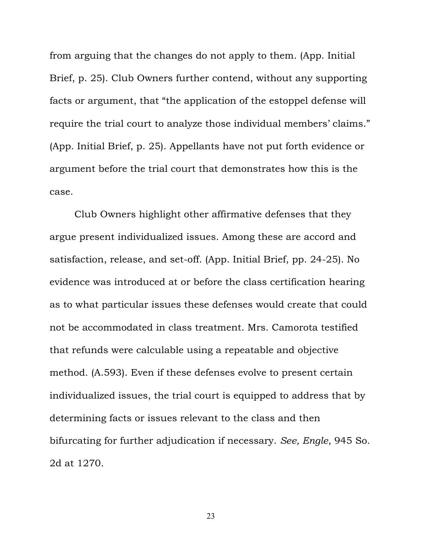from arguing that the changes do not apply to them. (App. Initial Brief, p. 25). Club Owners further contend, without any supporting facts or argument, that "the application of the estoppel defense will require the trial court to analyze those individual members' claims." (App. Initial Brief, p. 25). Appellants have not put forth evidence or argument before the trial court that demonstrates how this is the case.

Club Owners highlight other affirmative defenses that they argue present individualized issues. Among these are accord and satisfaction, release, and set-off. (App. Initial Brief, pp. 24-25). No evidence was introduced at or before the class certification hearing as to what particular issues these defenses would create that could not be accommodated in class treatment. Mrs. Camorota testified that refunds were calculable using a repeatable and objective method. (A.593). Even if these defenses evolve to present certain individualized issues, the trial court is equipped to address that by determining facts or issues relevant to the class and then bifurcating for further adjudication if necessary. *See, Engle*, 945 So. 2d at 1270.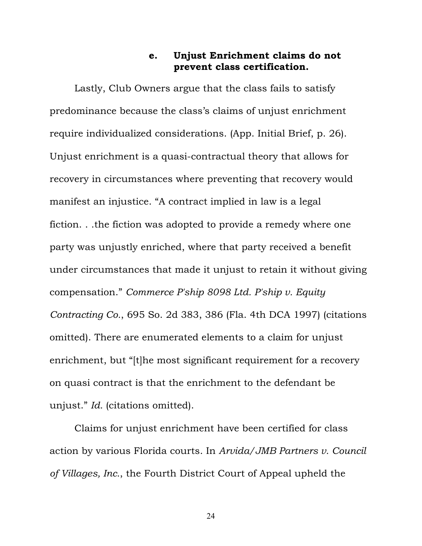### **e. Unjust Enrichment claims do not prevent class certification.**

<span id="page-27-0"></span>Lastly, Club Owners argue that the class fails to satisfy predominance because the class's claims of unjust enrichment require individualized considerations. (App. Initial Brief, p. 26). Unjust enrichment is a quasi-contractual theory that allows for recovery in circumstances where preventing that recovery would manifest an injustice. "A contract implied in law is a legal fiction. . .the fiction was adopted to provide a remedy where one party was unjustly enriched, where that party received a benefit under circumstances that made it unjust to retain it without giving compensation." *Commerce P'ship 8098 Ltd. P'ship v. Equity Contracting Co.*, 695 So. 2d 383, 386 (Fla. 4th DCA 1997) (citations omitted). There are enumerated elements to a claim for unjust enrichment, but "[t]he most significant requirement for a recovery on quasi contract is that the enrichment to the defendant be unjust." *Id.* (citations omitted).

Claims for unjust enrichment have been certified for class action by various Florida courts. In *Arvida/JMB Partners v. Council of Villages, Inc.*, the Fourth District Court of Appeal upheld the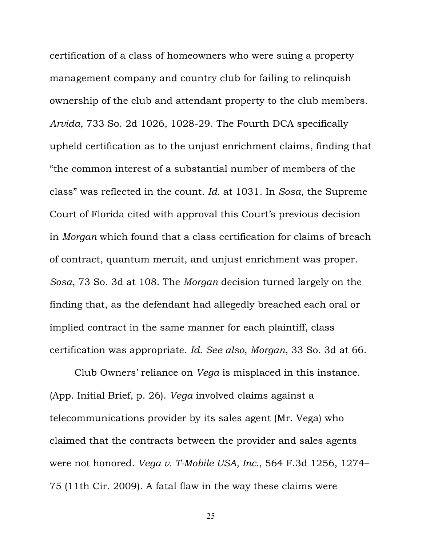certification of a class of homeowners who were suing a property management company and country club for failing to relinquish ownership of the club and attendant property to the club members. *Arvida*, 733 So. 2d 1026, 1028-29. The Fourth DCA specifically upheld certification as to the unjust enrichment claims, finding that "the common interest of a substantial number of members of the class" was reflected in the count. *Id.* at 1031. In *Sosa*, the Supreme Court of Florida cited with approval this Court's previous decision in *Morgan* which found that a class certification for claims of breach of contract, quantum meruit, and unjust enrichment was proper. *Sosa*, 73 So. 3d at 108. The *Morgan* decision turned largely on the finding that, as the defendant had allegedly breached each oral or implied contract in the same manner for each plaintiff, class certification was appropriate. *Id. See also*, *Morgan*, 33 So. 3d at 66.

Club Owners' reliance on *Vega* is misplaced in this instance. (App. Initial Brief, p. 26). *Vega* involved claims against a telecommunications provider by its sales agent (Mr. Vega) who claimed that the contracts between the provider and sales agents were not honored. *Vega v. T-Mobile USA, Inc.*, 564 F.3d 1256, 1274– 75 (11th Cir. 2009). A fatal flaw in the way these claims were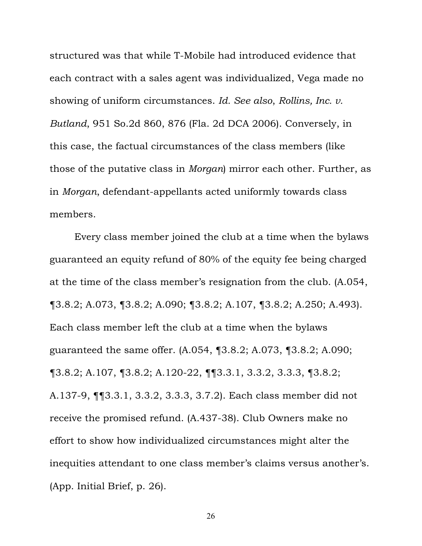structured was that while T-Mobile had introduced evidence that each contract with a sales agent was individualized, Vega made no showing of uniform circumstances. *Id. See also*, *Rollins, Inc. v. Butland*, 951 So.2d 860, 876 (Fla. 2d DCA 2006). Conversely, in this case, the factual circumstances of the class members (like those of the putative class in *Morgan*) mirror each other. Further, as in *Morgan*, defendant-appellants acted uniformly towards class members.

Every class member joined the club at a time when the bylaws guaranteed an equity refund of 80% of the equity fee being charged at the time of the class member's resignation from the club. (A.054, ¶3.8.2; A.073, ¶3.8.2; A.090; ¶3.8.2; A.107, ¶3.8.2; A.250; A.493). Each class member left the club at a time when the bylaws guaranteed the same offer. (A.054, ¶3.8.2; A.073, ¶3.8.2; A.090; ¶3.8.2; A.107, ¶3.8.2; A.120-22, ¶¶3.3.1, 3.3.2, 3.3.3, ¶3.8.2; A.137-9, ¶¶3.3.1, 3.3.2, 3.3.3, 3.7.2). Each class member did not receive the promised refund. (A.437-38). Club Owners make no effort to show how individualized circumstances might alter the inequities attendant to one class member's claims versus another's. (App. Initial Brief, p. 26).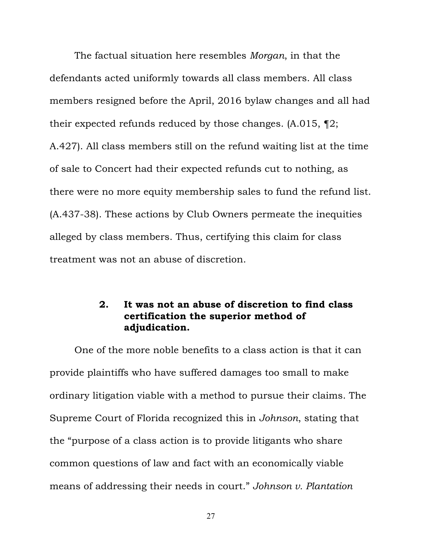<span id="page-30-0"></span>The factual situation here resembles *Morgan*, in that the defendants acted uniformly towards all class members. All class members resigned before the April, 2016 bylaw changes and all had their expected refunds reduced by those changes. (A.015, ¶2; A.427). All class members still on the refund waiting list at the time of sale to Concert had their expected refunds cut to nothing, as there were no more equity membership sales to fund the refund list. (A.437-38). These actions by Club Owners permeate the inequities alleged by class members. Thus, certifying this claim for class treatment was not an abuse of discretion.

### **2. It was not an abuse of discretion to find class certification the superior method of adjudication.**

One of the more noble benefits to a class action is that it can provide plaintiffs who have suffered damages too small to make ordinary litigation viable with a method to pursue their claims. The Supreme Court of Florida recognized this in *Johnson*, stating that the "purpose of a class action is to provide litigants who share common questions of law and fact with an economically viable means of addressing their needs in court." *Johnson v. Plantation*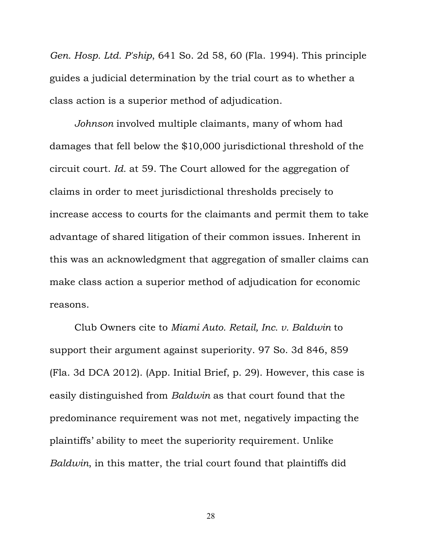*Gen. Hosp. Ltd. P'ship*, 641 So. 2d 58, 60 (Fla. 1994). This principle guides a judicial determination by the trial court as to whether a class action is a superior method of adjudication.

*Johnson* involved multiple claimants, many of whom had damages that fell below the \$10,000 jurisdictional threshold of the circuit court. *Id.* at 59. The Court allowed for the aggregation of claims in order to meet jurisdictional thresholds precisely to increase access to courts for the claimants and permit them to take advantage of shared litigation of their common issues. Inherent in this was an acknowledgment that aggregation of smaller claims can make class action a superior method of adjudication for economic reasons.

Club Owners cite to *Miami Auto. Retail, Inc. v. Baldwin* to support their argument against superiority. 97 So. 3d 846, 859 (Fla. 3d DCA 2012). (App. Initial Brief, p. 29). However, this case is easily distinguished from *Baldwin* as that court found that the predominance requirement was not met, negatively impacting the plaintiffs' ability to meet the superiority requirement. Unlike *Baldwin*, in this matter, the trial court found that plaintiffs did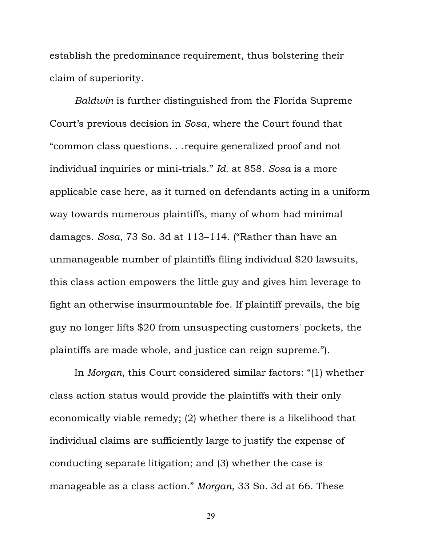establish the predominance requirement, thus bolstering their claim of superiority.

*Baldwin* is further distinguished from the Florida Supreme Court's previous decision in *Sosa*, where the Court found that "common class questions. . .require generalized proof and not individual inquiries or mini-trials." *Id.* at 858. *Sosa* is a more applicable case here, as it turned on defendants acting in a uniform way towards numerous plaintiffs, many of whom had minimal damages. *Sosa*, 73 So. 3d at 113–114. ("Rather than have an unmanageable number of plaintiffs filing individual \$20 lawsuits, this class action empowers the little guy and gives him leverage to fight an otherwise insurmountable foe. If plaintiff prevails, the big guy no longer lifts \$20 from unsuspecting customers' pockets, the plaintiffs are made whole, and justice can reign supreme.").

In *Morgan*, this Court considered similar factors: "(1) whether class action status would provide the plaintiffs with their only economically viable remedy; (2) whether there is a likelihood that individual claims are sufficiently large to justify the expense of conducting separate litigation; and (3) whether the case is manageable as a class action." *Morgan*, 33 So. 3d at 66. These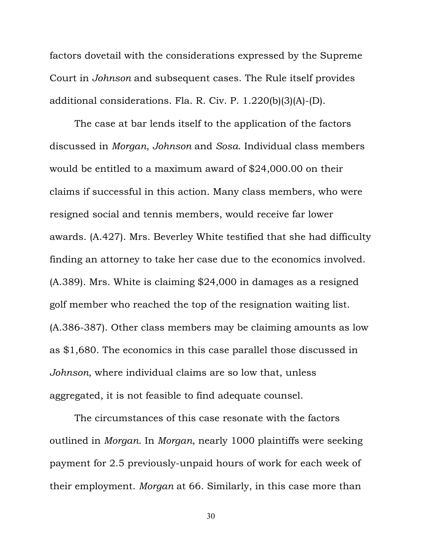factors dovetail with the considerations expressed by the Supreme Court in *Johnson* and subsequent cases. The Rule itself provides additional considerations. Fla. R. Civ. P. 1.220(b)(3)(A)-(D).

The case at bar lends itself to the application of the factors discussed in *Morgan*, *Johnson* and *Sosa*. Individual class members would be entitled to a maximum award of \$24,000.00 on their claims if successful in this action. Many class members, who were resigned social and tennis members, would receive far lower awards. (A.427). Mrs. Beverley White testified that she had difficulty finding an attorney to take her case due to the economics involved. (A.389). Mrs. White is claiming \$24,000 in damages as a resigned golf member who reached the top of the resignation waiting list. (A.386-387). Other class members may be claiming amounts as low as \$1,680. The economics in this case parallel those discussed in *Johnson*, where individual claims are so low that, unless aggregated, it is not feasible to find adequate counsel.

The circumstances of this case resonate with the factors outlined in *Morgan*. In *Morgan*, nearly 1000 plaintiffs were seeking payment for 2.5 previously-unpaid hours of work for each week of their employment. *Morgan* at 66. Similarly, in this case more than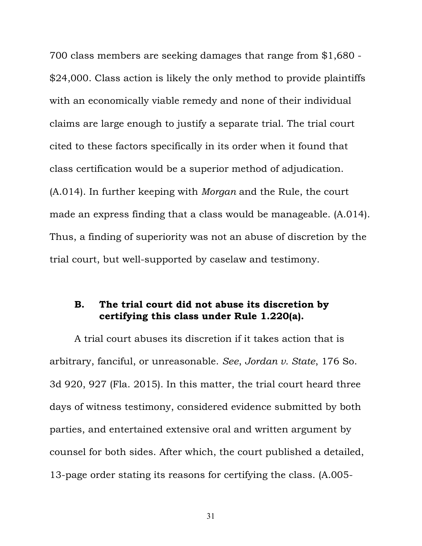<span id="page-34-0"></span>700 class members are seeking damages that range from \$1,680 - \$24,000. Class action is likely the only method to provide plaintiffs with an economically viable remedy and none of their individual claims are large enough to justify a separate trial. The trial court cited to these factors specifically in its order when it found that class certification would be a superior method of adjudication. (A.014). In further keeping with *Morgan* and the Rule, the court made an express finding that a class would be manageable. (A.014). Thus, a finding of superiority was not an abuse of discretion by the trial court, but well-supported by caselaw and testimony.

### **B. The trial court did not abuse its discretion by certifying this class under Rule 1.220(a).**

A trial court abuses its discretion if it takes action that is arbitrary, fanciful, or unreasonable. *See*, *Jordan v. State*, 176 So. 3d 920, 927 (Fla. 2015). In this matter, the trial court heard three days of witness testimony, considered evidence submitted by both parties, and entertained extensive oral and written argument by counsel for both sides. After which, the court published a detailed, 13-page order stating its reasons for certifying the class. (A.005-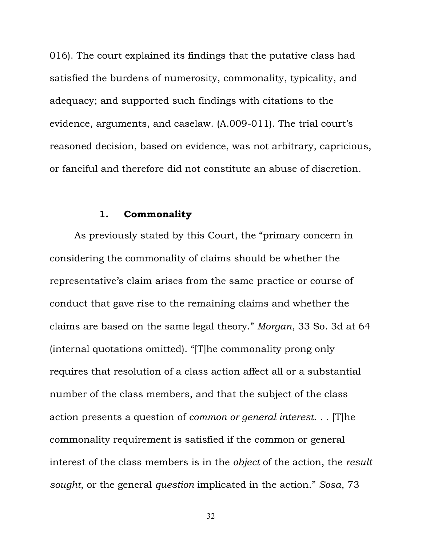<span id="page-35-0"></span>016). The court explained its findings that the putative class had satisfied the burdens of numerosity, commonality, typicality, and adequacy; and supported such findings with citations to the evidence, arguments, and caselaw. (A.009-011). The trial court's reasoned decision, based on evidence, was not arbitrary, capricious, or fanciful and therefore did not constitute an abuse of discretion.

#### **1. Commonality**

As previously stated by this Court, the "primary concern in considering the commonality of claims should be whether the representative's claim arises from the same practice or course of conduct that gave rise to the remaining claims and whether the claims are based on the same legal theory." *Morgan*, 33 So. 3d at 64 (internal quotations omitted). "[T]he commonality prong only requires that resolution of a class action affect all or a substantial number of the class members, and that the subject of the class action presents a question of *common or general interest*. . . [T]he commonality requirement is satisfied if the common or general interest of the class members is in the *object* of the action, the *result sought*, or the general *question* implicated in the action." *Sosa*, 73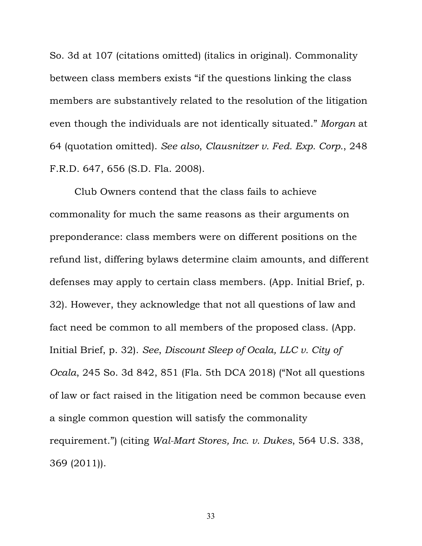So. 3d at 107 (citations omitted) (italics in original). Commonality between class members exists "if the questions linking the class members are substantively related to the resolution of the litigation even though the individuals are not identically situated." *Morgan* at 64 (quotation omitted). *See also*, *Clausnitzer v. Fed. Exp. Corp.*, 248 F.R.D. 647, 656 (S.D. Fla. 2008).

Club Owners contend that the class fails to achieve commonality for much the same reasons as their arguments on preponderance: class members were on different positions on the refund list, differing bylaws determine claim amounts, and different defenses may apply to certain class members. (App. Initial Brief, p. 32). However, they acknowledge that not all questions of law and fact need be common to all members of the proposed class. (App. Initial Brief, p. 32). *See*, *Discount Sleep of Ocala, LLC v. City of Ocala*, 245 So. 3d 842, 851 (Fla. 5th DCA 2018) ("Not all questions of law or fact raised in the litigation need be common because even a single common question will satisfy the commonality requirement.") (citing *Wal-Mart Stores, Inc. v. Dukes*, 564 U.S. 338, 369 (2011)).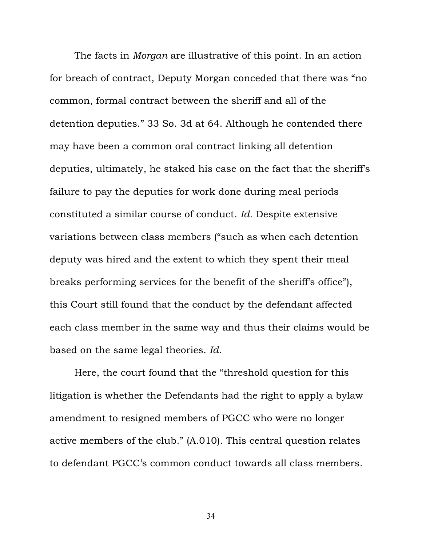The facts in *Morgan* are illustrative of this point. In an action for breach of contract, Deputy Morgan conceded that there was "no common, formal contract between the sheriff and all of the detention deputies." 33 So. 3d at 64. Although he contended there may have been a common oral contract linking all detention deputies, ultimately, he staked his case on the fact that the sheriff's failure to pay the deputies for work done during meal periods constituted a similar course of conduct. *Id.* Despite extensive variations between class members ("such as when each detention deputy was hired and the extent to which they spent their meal breaks performing services for the benefit of the sheriff's office"), this Court still found that the conduct by the defendant affected each class member in the same way and thus their claims would be based on the same legal theories. *Id.*

Here, the court found that the "threshold question for this litigation is whether the Defendants had the right to apply a bylaw amendment to resigned members of PGCC who were no longer active members of the club." (A.010). This central question relates to defendant PGCC's common conduct towards all class members.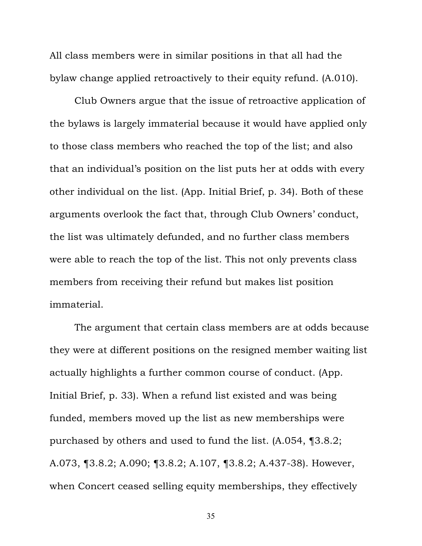All class members were in similar positions in that all had the bylaw change applied retroactively to their equity refund. (A.010).

Club Owners argue that the issue of retroactive application of the bylaws is largely immaterial because it would have applied only to those class members who reached the top of the list; and also that an individual's position on the list puts her at odds with every other individual on the list. (App. Initial Brief, p. 34). Both of these arguments overlook the fact that, through Club Owners' conduct, the list was ultimately defunded, and no further class members were able to reach the top of the list. This not only prevents class members from receiving their refund but makes list position immaterial.

The argument that certain class members are at odds because they were at different positions on the resigned member waiting list actually highlights a further common course of conduct. (App. Initial Brief, p. 33). When a refund list existed and was being funded, members moved up the list as new memberships were purchased by others and used to fund the list. (A.054, ¶3.8.2; A.073, ¶3.8.2; A.090; ¶3.8.2; A.107, ¶3.8.2; A.437-38). However, when Concert ceased selling equity memberships, they effectively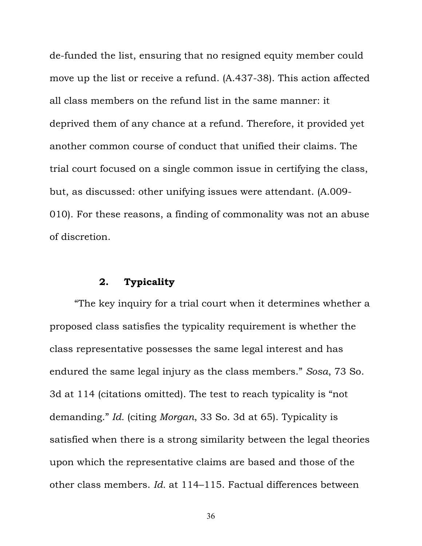<span id="page-39-0"></span>de-funded the list, ensuring that no resigned equity member could move up the list or receive a refund. (A.437-38). This action affected all class members on the refund list in the same manner: it deprived them of any chance at a refund. Therefore, it provided yet another common course of conduct that unified their claims. The trial court focused on a single common issue in certifying the class, but, as discussed: other unifying issues were attendant. (A.009- 010). For these reasons, a finding of commonality was not an abuse of discretion.

### **2. Typicality**

"The key inquiry for a trial court when it determines whether a proposed class satisfies the typicality requirement is whether the class representative possesses the same legal interest and has endured the same legal injury as the class members." *Sosa*, 73 So. 3d at 114 (citations omitted). The test to reach typicality is "not demanding." *Id.* (citing *Morgan*, 33 So. 3d at 65). Typicality is satisfied when there is a strong similarity between the legal theories upon which the representative claims are based and those of the other class members. *Id.* at 114–115. Factual differences between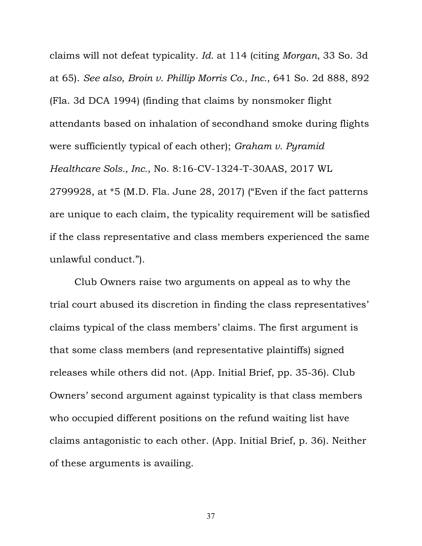claims will not defeat typicality. *Id.* at 114 (citing *Morgan*, 33 So. 3d at 65). *See also*, *Broin v. Phillip Morris Co., Inc.*, 641 So. 2d 888, 892 (Fla. 3d DCA 1994) (finding that claims by nonsmoker flight attendants based on inhalation of secondhand smoke during flights were sufficiently typical of each other); *Graham v. Pyramid Healthcare Sols., Inc.*, No. 8:16-CV-1324-T-30AAS, 2017 WL 2799928, at \*5 (M.D. Fla. June 28, 2017) ("Even if the fact patterns are unique to each claim, the typicality requirement will be satisfied if the class representative and class members experienced the same unlawful conduct.").

Club Owners raise two arguments on appeal as to why the trial court abused its discretion in finding the class representatives' claims typical of the class members' claims. The first argument is that some class members (and representative plaintiffs) signed releases while others did not. (App. Initial Brief, pp. 35-36). Club Owners' second argument against typicality is that class members who occupied different positions on the refund waiting list have claims antagonistic to each other. (App. Initial Brief, p. 36). Neither of these arguments is availing.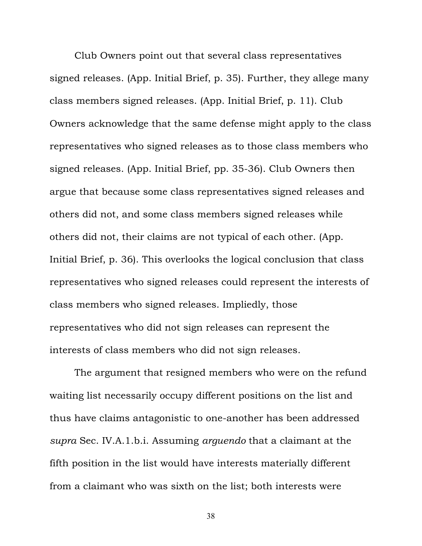Club Owners point out that several class representatives signed releases. (App. Initial Brief, p. 35). Further, they allege many class members signed releases. (App. Initial Brief, p. 11). Club Owners acknowledge that the same defense might apply to the class representatives who signed releases as to those class members who signed releases. (App. Initial Brief, pp. 35-36). Club Owners then argue that because some class representatives signed releases and others did not, and some class members signed releases while others did not, their claims are not typical of each other. (App. Initial Brief, p. 36). This overlooks the logical conclusion that class representatives who signed releases could represent the interests of class members who signed releases. Impliedly, those representatives who did not sign releases can represent the interests of class members who did not sign releases.

The argument that resigned members who were on the refund waiting list necessarily occupy different positions on the list and thus have claims antagonistic to one-another has been addressed *supra* Sec. IV.A.1.b.i. Assuming *arguendo* that a claimant at the fifth position in the list would have interests materially different from a claimant who was sixth on the list; both interests were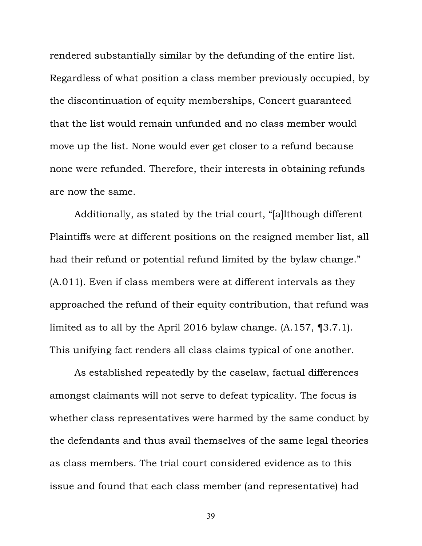rendered substantially similar by the defunding of the entire list. Regardless of what position a class member previously occupied, by the discontinuation of equity memberships, Concert guaranteed that the list would remain unfunded and no class member would move up the list. None would ever get closer to a refund because none were refunded. Therefore, their interests in obtaining refunds are now the same.

Additionally, as stated by the trial court, "[a]lthough different Plaintiffs were at different positions on the resigned member list, all had their refund or potential refund limited by the bylaw change." (A.011). Even if class members were at different intervals as they approached the refund of their equity contribution, that refund was limited as to all by the April 2016 bylaw change. (A.157, ¶3.7.1). This unifying fact renders all class claims typical of one another.

As established repeatedly by the caselaw, factual differences amongst claimants will not serve to defeat typicality. The focus is whether class representatives were harmed by the same conduct by the defendants and thus avail themselves of the same legal theories as class members. The trial court considered evidence as to this issue and found that each class member (and representative) had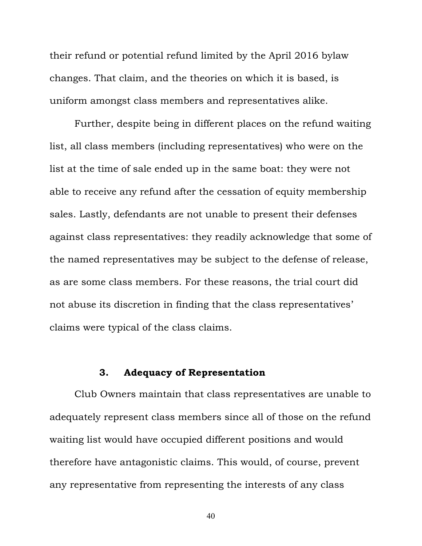<span id="page-43-0"></span>their refund or potential refund limited by the April 2016 bylaw changes. That claim, and the theories on which it is based, is uniform amongst class members and representatives alike.

Further, despite being in different places on the refund waiting list, all class members (including representatives) who were on the list at the time of sale ended up in the same boat: they were not able to receive any refund after the cessation of equity membership sales. Lastly, defendants are not unable to present their defenses against class representatives: they readily acknowledge that some of the named representatives may be subject to the defense of release, as are some class members. For these reasons, the trial court did not abuse its discretion in finding that the class representatives' claims were typical of the class claims.

# **3. Adequacy of Representation**

Club Owners maintain that class representatives are unable to adequately represent class members since all of those on the refund waiting list would have occupied different positions and would therefore have antagonistic claims. This would, of course, prevent any representative from representing the interests of any class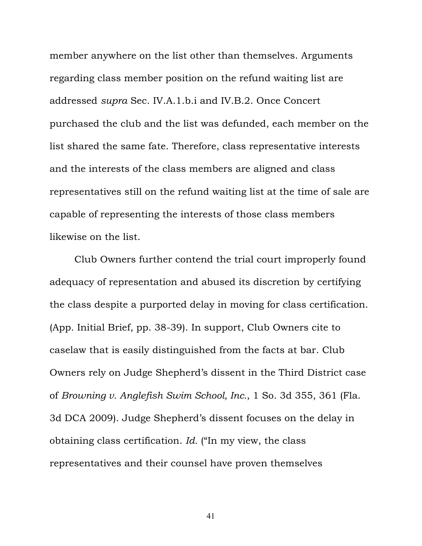member anywhere on the list other than themselves. Arguments regarding class member position on the refund waiting list are addressed *supra* Sec. IV.A.1.b.i and IV.B.2. Once Concert purchased the club and the list was defunded, each member on the list shared the same fate. Therefore, class representative interests and the interests of the class members are aligned and class representatives still on the refund waiting list at the time of sale are capable of representing the interests of those class members likewise on the list.

Club Owners further contend the trial court improperly found adequacy of representation and abused its discretion by certifying the class despite a purported delay in moving for class certification. (App. Initial Brief, pp. 38-39). In support, Club Owners cite to caselaw that is easily distinguished from the facts at bar. Club Owners rely on Judge Shepherd's dissent in the Third District case of *Browning v. Anglefish Swim School, Inc.*, 1 So. 3d 355, 361 (Fla. 3d DCA 2009). Judge Shepherd's dissent focuses on the delay in obtaining class certification. *Id.* ("In my view, the class representatives and their counsel have proven themselves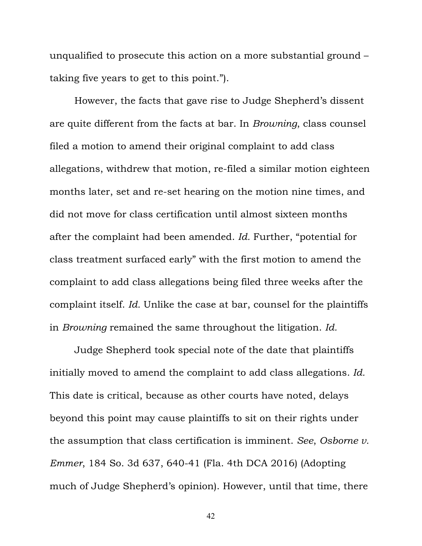unqualified to prosecute this action on a more substantial ground – taking five years to get to this point.").

However, the facts that gave rise to Judge Shepherd's dissent are quite different from the facts at bar. In *Browning*, class counsel filed a motion to amend their original complaint to add class allegations, withdrew that motion, re-filed a similar motion eighteen months later, set and re-set hearing on the motion nine times, and did not move for class certification until almost sixteen months after the complaint had been amended. *Id.* Further, "potential for class treatment surfaced early" with the first motion to amend the complaint to add class allegations being filed three weeks after the complaint itself. *Id.* Unlike the case at bar, counsel for the plaintiffs in *Browning* remained the same throughout the litigation. *Id.*

Judge Shepherd took special note of the date that plaintiffs initially moved to amend the complaint to add class allegations. *Id.* This date is critical, because as other courts have noted, delays beyond this point may cause plaintiffs to sit on their rights under the assumption that class certification is imminent. *See*, *Osborne v. Emmer*, 184 So. 3d 637, 640-41 (Fla. 4th DCA 2016) (Adopting much of Judge Shepherd's opinion). However, until that time, there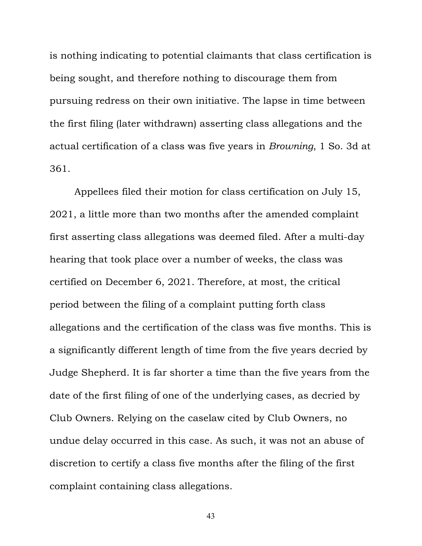is nothing indicating to potential claimants that class certification is being sought, and therefore nothing to discourage them from pursuing redress on their own initiative. The lapse in time between the first filing (later withdrawn) asserting class allegations and the actual certification of a class was five years in *Browning*, 1 So. 3d at 361.

Appellees filed their motion for class certification on July 15, 2021, a little more than two months after the amended complaint first asserting class allegations was deemed filed. After a multi-day hearing that took place over a number of weeks, the class was certified on December 6, 2021. Therefore, at most, the critical period between the filing of a complaint putting forth class allegations and the certification of the class was five months. This is a significantly different length of time from the five years decried by Judge Shepherd. It is far shorter a time than the five years from the date of the first filing of one of the underlying cases, as decried by Club Owners. Relying on the caselaw cited by Club Owners, no undue delay occurred in this case. As such, it was not an abuse of discretion to certify a class five months after the filing of the first complaint containing class allegations.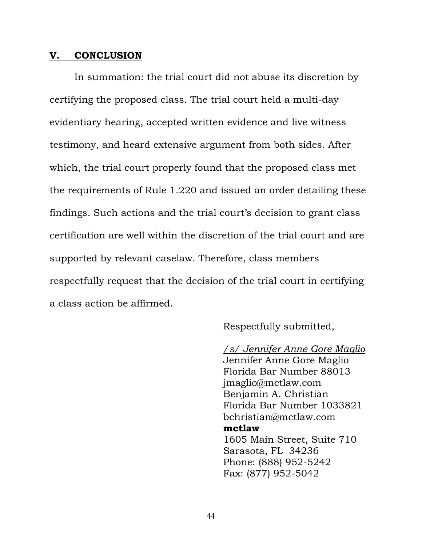#### <span id="page-47-0"></span>**V. CONCLUSION**

In summation: the trial court did not abuse its discretion by certifying the proposed class. The trial court held a multi-day evidentiary hearing, accepted written evidence and live witness testimony, and heard extensive argument from both sides. After which, the trial court properly found that the proposed class met the requirements of Rule 1.220 and issued an order detailing these findings. Such actions and the trial court's decision to grant class certification are well within the discretion of the trial court and are supported by relevant caselaw. Therefore, class members respectfully request that the decision of the trial court in certifying a class action be affirmed.

Respectfully submitted,

*/s/ Jennifer Anne Gore Maglio* Jennifer Anne Gore Maglio Florida Bar Number 88013 jmaglio@mctlaw.com Benjamin A. Christian Florida Bar Number 1033821 bchristian@mctlaw.com **mctlaw** 1605 Main Street, Suite 710 Sarasota, FL 34236 Phone: (888) 952-5242 Fax: (877) 952-5042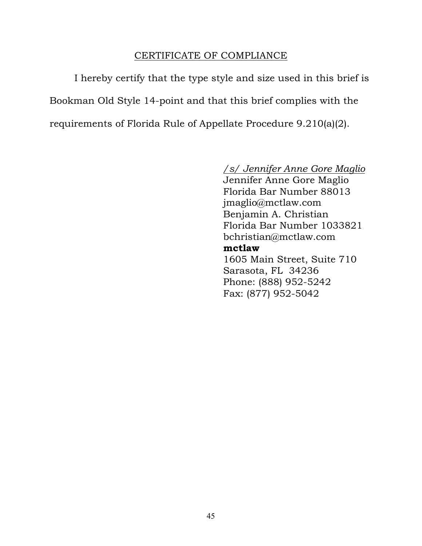## CERTIFICATE OF COMPLIANCE

I hereby certify that the type style and size used in this brief is Bookman Old Style 14-point and that this brief complies with the requirements of Florida Rule of Appellate Procedure 9.210(a)(2).

# */s/ Jennifer Anne Gore Maglio*

Jennifer Anne Gore Maglio Florida Bar Number 88013 jmaglio@mctlaw.com Benjamin A. Christian Florida Bar Number 1033821 bchristian@mctlaw.com **mctlaw** 1605 Main Street, Suite 710 Sarasota, FL 34236 Phone: (888) 952-5242 Fax: (877) 952-5042